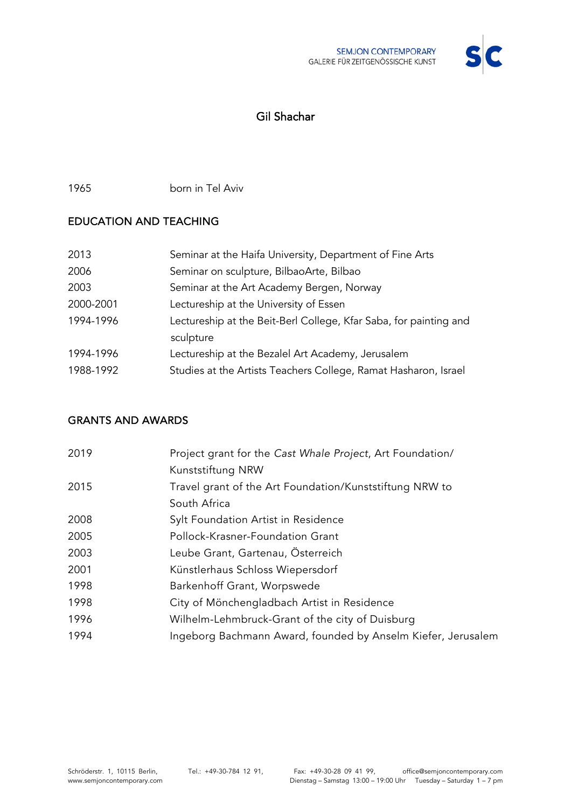

# Gil Shachar

1965 born in Tel Aviv

### EDUCATION AND TEACHING

| 2013      | Seminar at the Haifa University, Department of Fine Arts          |
|-----------|-------------------------------------------------------------------|
| 2006      | Seminar on sculpture, BilbaoArte, Bilbao                          |
| 2003      | Seminar at the Art Academy Bergen, Norway                         |
| 2000-2001 | Lectureship at the University of Essen                            |
| 1994-1996 | Lectureship at the Beit-Berl College, Kfar Saba, for painting and |
|           | sculpture                                                         |
| 1994-1996 | Lectureship at the Bezalel Art Academy, Jerusalem                 |
| 1988-1992 | Studies at the Artists Teachers College, Ramat Hasharon, Israel   |

#### GRANTS AND AWARDS

| 2019 | Project grant for the Cast Whale Project, Art Foundation/    |
|------|--------------------------------------------------------------|
|      | Kunststiftung NRW                                            |
| 2015 | Travel grant of the Art Foundation/Kunststiftung NRW to      |
|      | South Africa                                                 |
| 2008 | Sylt Foundation Artist in Residence                          |
| 2005 | Pollock-Krasner-Foundation Grant                             |
| 2003 | Leube Grant, Gartenau, Osterreich                            |
| 2001 | Künstlerhaus Schloss Wiepersdorf                             |
| 1998 | Barkenhoff Grant, Worpswede                                  |
| 1998 | City of Mönchengladbach Artist in Residence                  |
| 1996 | Wilhelm-Lehmbruck-Grant of the city of Duisburg              |
| 1994 | Ingeborg Bachmann Award, founded by Anselm Kiefer, Jerusalem |
|      |                                                              |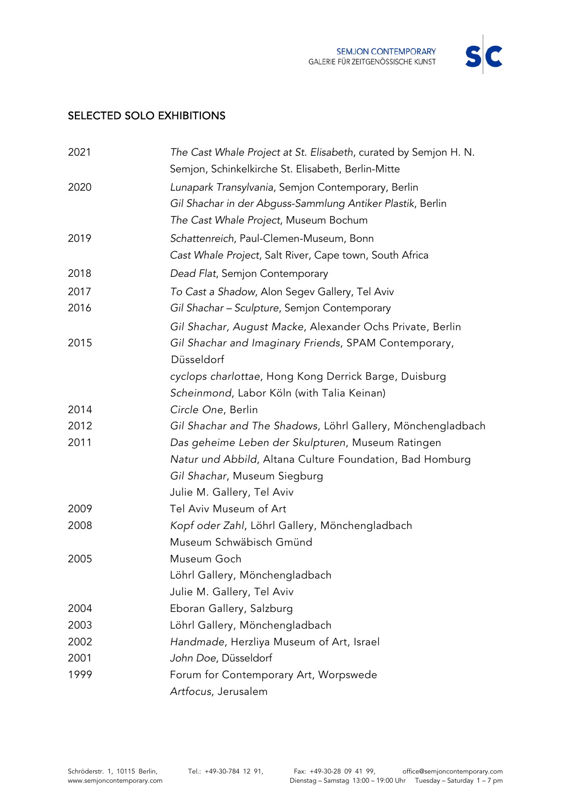

### SELECTED SOLO EXHIBITIONS

| 2021 | The Cast Whale Project at St. Elisabeth, curated by Semjon H. N. |
|------|------------------------------------------------------------------|
|      | Semjon, Schinkelkirche St. Elisabeth, Berlin-Mitte               |
| 2020 | Lunapark Transylvania, Semjon Contemporary, Berlin               |
|      | Gil Shachar in der Abguss-Sammlung Antiker Plastik, Berlin       |
|      | The Cast Whale Project, Museum Bochum                            |
| 2019 | Schattenreich, Paul-Clemen-Museum, Bonn                          |
|      | Cast Whale Project, Salt River, Cape town, South Africa          |
| 2018 | Dead Flat, Semjon Contemporary                                   |
| 2017 | To Cast a Shadow, Alon Segev Gallery, Tel Aviv                   |
| 2016 | Gil Shachar - Sculpture, Semjon Contemporary                     |
|      | Gil Shachar, August Macke, Alexander Ochs Private, Berlin        |
| 2015 | Gil Shachar and Imaginary Friends, SPAM Contemporary,            |
|      | Düsseldorf                                                       |
|      | cyclops charlottae, Hong Kong Derrick Barge, Duisburg            |
|      | Scheinmond, Labor Köln (with Talia Keinan)                       |
| 2014 | Circle One, Berlin                                               |
| 2012 | Gil Shachar and The Shadows, Löhrl Gallery, Mönchengladbach      |
| 2011 | Das geheime Leben der Skulpturen, Museum Ratingen                |
|      | Natur und Abbild, Altana Culture Foundation, Bad Homburg         |
|      | Gil Shachar, Museum Siegburg                                     |
|      | Julie M. Gallery, Tel Aviv                                       |
| 2009 | Tel Aviv Museum of Art                                           |
| 2008 | Kopf oder Zahl, Löhrl Gallery, Mönchengladbach                   |
|      | Museum Schwäbisch Gmünd                                          |
| 2005 | Museum Goch                                                      |
|      | Löhrl Gallery, Mönchengladbach                                   |
|      | Julie M. Gallery, Tel Aviv                                       |
| 2004 | Eboran Gallery, Salzburg                                         |
| 2003 | Löhrl Gallery, Mönchengladbach                                   |
| 2002 | Handmade, Herzliya Museum of Art, Israel                         |
| 2001 | John Doe, Düsseldorf                                             |
| 1999 | Forum for Contemporary Art, Worpswede                            |
|      | Artfocus, Jerusalem                                              |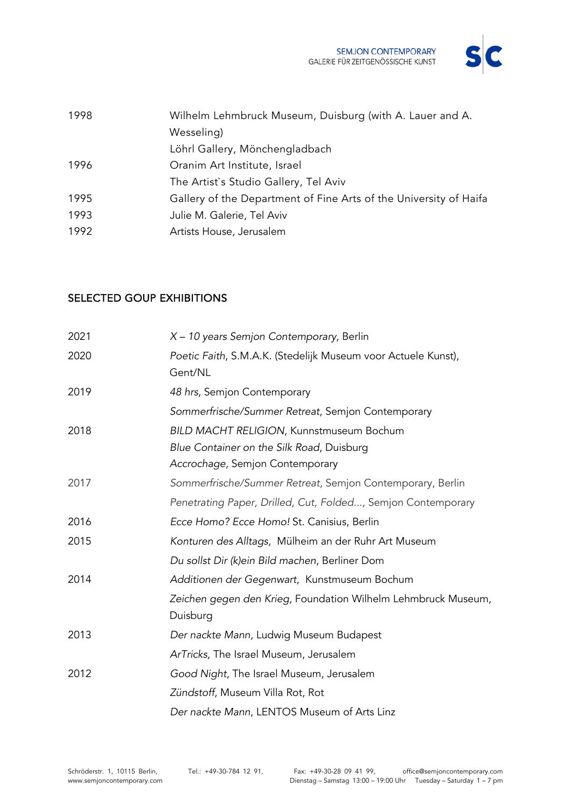

| 1998 | Wilhelm Lehmbruck Museum, Duisburg (with A. Lauer and A.          |
|------|-------------------------------------------------------------------|
|      | Wesseling)                                                        |
|      | Löhrl Gallery, Mönchengladbach                                    |
| 1996 | Oranim Art Institute, Israel                                      |
|      | The Artist's Studio Gallery, Tel Aviv                             |
| 1995 | Gallery of the Department of Fine Arts of the University of Haifa |
| 1993 | Julie M. Galerie, Tel Aviv                                        |
| 1992 | Artists House, Jerusalem                                          |
|      |                                                                   |

#### SELECTED GOUP EXHIBITIONS

| 2021 | X - 10 years Semjon Contemporary, Berlin                                  |
|------|---------------------------------------------------------------------------|
| 2020 | Poetic Faith, S.M.A.K. (Stedelijk Museum voor Actuele Kunst),<br>Gent/NL  |
| 2019 | 48 hrs, Semjon Contemporary                                               |
|      | Sommerfrische/Summer Retreat, Semjon Contemporary                         |
| 2018 | BILD MACHT RELIGION, Kunnstmuseum Bochum                                  |
|      | Blue Container on the Silk Road, Duisburg                                 |
|      | Accrochage, Semjon Contemporary                                           |
| 2017 | Sommerfrische/Summer Retreat, Semjon Contemporary, Berlin                 |
|      | Penetrating Paper, Drilled, Cut, Folded, Semjon Contemporary              |
| 2016 | Ecce Homo? Ecce Homo! St. Canisius, Berlin                                |
| 2015 | Konturen des Alltags, Mülheim an der Ruhr Art Museum                      |
|      | Du sollst Dir (k)ein Bild machen, Berliner Dom                            |
| 2014 | Additionen der Gegenwart, Kunstmuseum Bochum                              |
|      | Zeichen gegen den Krieg, Foundation Wilhelm Lehmbruck Museum,<br>Duisburg |
| 2013 | Der nackte Mann, Ludwig Museum Budapest                                   |
|      | ArTricks, The Israel Museum, Jerusalem                                    |
| 2012 | Good Night, The Israel Museum, Jerusalem                                  |
|      | Zündstoff, Museum Villa Rot, Rot                                          |
|      | Der nackte Mann, LENTOS Museum of Arts Linz                               |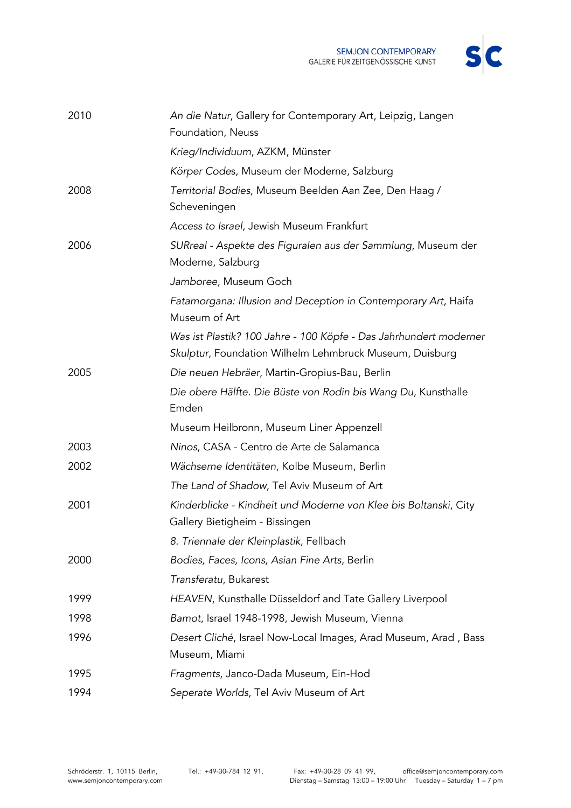

| 2010 | An die Natur, Gallery for Contemporary Art, Leipzig, Langen<br>Foundation, Neuss                                             |
|------|------------------------------------------------------------------------------------------------------------------------------|
|      | Krieg/Individuum, AZKM, Münster                                                                                              |
|      | Körper Codes, Museum der Moderne, Salzburg                                                                                   |
| 2008 | Territorial Bodies, Museum Beelden Aan Zee, Den Haag /<br>Scheveningen                                                       |
|      | Access to Israel, Jewish Museum Frankfurt                                                                                    |
| 2006 | SURreal - Aspekte des Figuralen aus der Sammlung, Museum der<br>Moderne, Salzburg                                            |
|      | Jamboree, Museum Goch                                                                                                        |
|      | Fatamorgana: Illusion and Deception in Contemporary Art, Haifa<br>Museum of Art                                              |
|      | Was ist Plastik? 100 Jahre - 100 Köpfe - Das Jahrhundert moderner<br>Skulptur, Foundation Wilhelm Lehmbruck Museum, Duisburg |
| 2005 | Die neuen Hebräer, Martin-Gropius-Bau, Berlin                                                                                |
|      | Die obere Hälfte. Die Büste von Rodin bis Wang Du, Kunsthalle                                                                |
|      | Emden                                                                                                                        |
|      | Museum Heilbronn, Museum Liner Appenzell                                                                                     |
| 2003 | Ninos, CASA - Centro de Arte de Salamanca                                                                                    |
| 2002 | Wächserne Identitäten, Kolbe Museum, Berlin                                                                                  |
|      | The Land of Shadow, Tel Aviv Museum of Art                                                                                   |
| 2001 | Kinderblicke - Kindheit und Moderne von Klee bis Boltanski, City<br>Gallery Bietigheim - Bissingen                           |
|      | 8. Triennale der Kleinplastik, Fellbach                                                                                      |
| 2000 | Bodies, Faces, Icons, Asian Fine Arts, Berlin                                                                                |
|      | Transferatu, Bukarest                                                                                                        |
| 1999 | HEAVEN, Kunsthalle Düsseldorf and Tate Gallery Liverpool                                                                     |
| 1998 | Bamot, Israel 1948-1998, Jewish Museum, Vienna                                                                               |
| 1996 | Desert Cliché, Israel Now-Local Images, Arad Museum, Arad, Bass                                                              |
|      | Museum, Miami                                                                                                                |
| 1995 | Fragments, Janco-Dada Museum, Ein-Hod                                                                                        |
| 1994 | Seperate Worlds, Tel Aviv Museum of Art                                                                                      |